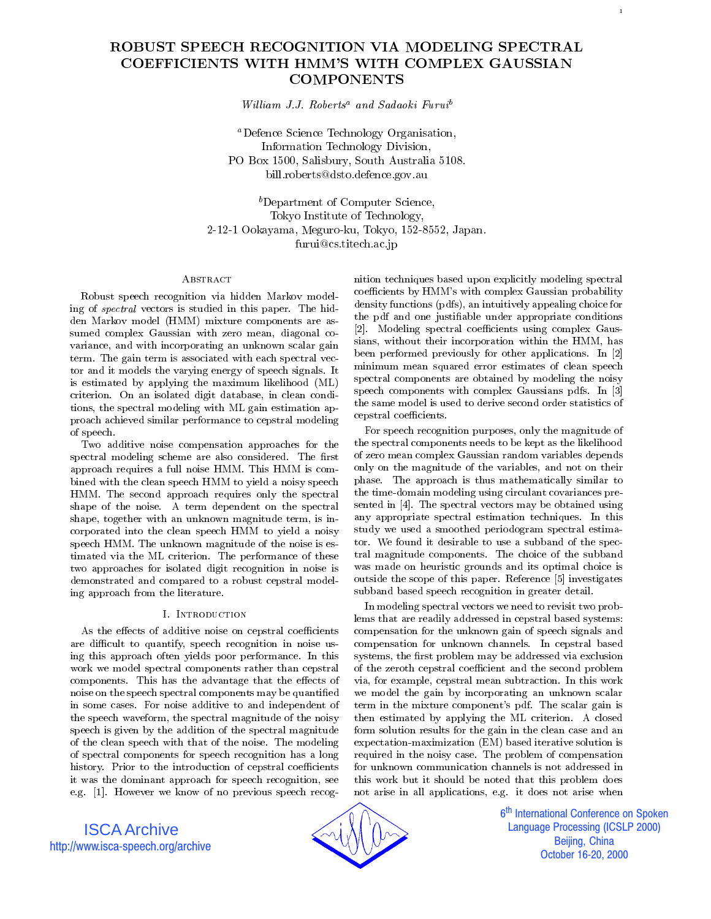# ROBUST SPEECH RECOGNITION VIA MODELING SPECTRAL COEFFICIENTS WITH HMM'S WITH COMPLEX GAUSSIAN **COMPONENTS**

William J.J. Roberts<sup>a</sup> and Sadaoki Furui<sup>b</sup>

aDefence Science Technology Organisation, Information Technology Division, PO Box 1500, Salisbury, South Australia 5108. bill.roberts@dsto.defence.gov.au

<sup>b</sup>Department of Computer Science, Tokyo Institute of Technology, 2-12-1 Ookayama, Meguro-ku, Tokyo, 152-8552, Japan. furui@cs.titech.ac.jp

# ABSTRACT

Robust speech recognition via hidden Markov modeling of spectral vectors is studied in this paper. The hidden Markov model (HMM) mixture components are as sumed complex Gaussian with zero mean, diagonal co variance, and with incorporating an unknown scalar gain term. The gain term is associated with each spectral vec tor and it models the varying energy of speech signals. It is estimated by applying the maximum likelihood (ML) criterion. On an isolated digit database, in clean conditions, the spectral modeling with ML gain estimation approach achieved similar performance to cepstral modeling of speech. of speech and speech and speech and speech and speech and speech and speech and speech.

Two additive noise compensation approaches for the spectral modeling scheme are also considered. The first approach requires a full noise HMM. This HMM is combined with the clean speech HMM to yield a noisy speech HMM. The second approach requires only the spectral shape of the noise. A term dependent on the spectral shape, together with an unknown magnitude term, is incorporated into the clean speech HMM to yield a noisy speech HMM. The unknown magnitude of the noise is estimated via the ML criterion. The performance of these two approaches for isolated digit recognition in noise is demonstrated and compared to a robust cepstral modeling approach from the literature.

As the effects of additive noise on cepstral coefficients are difficult to quantify, speech recognition in noise using this approach often yields poor performance. In this work we model spectral components rather than cepstral components. This has the advantage that the effects of noise on the speech spectral components may be quantied in some cases. For noise additive to and independent of the speech waveform, the spectral magnitude of the noisy speech is given by the addition of the spectral magnitude of the clean speech with that of the noise. The modeling of spectral components for speech recognition has a long history. Prior to the introduction of cepstral coefficients it was the dominant approach for speech recognition, see e.g. [1]. However we know of no previous speech recognition techniques based upon explicitly modeling spectral coefficients by HMM's with complex Gaussian probability density functions (pdfs), an intuitively appealing choice for the pdf and one justiable under appropriate conditions [2]. Modeling spectral coefficients using complex Gaussians, without their incorporation within the HMM, has been performed previously for other applications. In [2] minimum mean squared error estimates of clean speech spectral components are obtained by modeling the noisy speech components with complex Gaussians pdfs. In [3] the same model is used to derive second order statistics of cepstral coefficients.

For speech recognition purposes, only the magnitude of the spectral components needs to be kept as the likelihood of zero mean complex Gaussian random variables depends only on the magnitude of the variables, and not on their phase. The approach is thus mathematically similar to the time-domain modeling using circulant covariances pre sented in [4]. The spectral vectors may be obtained using any appropriate spectral estimation techniques. In this study we used a smoothed periodogram spectral estimator. We found it desirable to use a subband of the spectral magnitude components. The choice of the subband was made on heuristic grounds and its optimal choice is outside the scope of this paper. Reference [5] investigates subband based speech recognition in greater detail.

In modeling spectral vectors we need to revisit two problems that are readily addressed in cepstral based systems: compensation for the unknown gain of speech signals and compensation for unknown channels. In cepstral based systems, the first problem may be addressed via exclusion of the zeroth cepstral coefficient and the second problem via, for example, cepstral mean subtraction. In this work we model the gain by incorporating an unknown scalar term in the mixture component's pdf. The scalar gain is then estimated by applying the ML criterion. A closed form solution results for the gain in the clean case and an expectation-maximization (EM) based iterative solution is required in the noisy case. The problem of compensation for unknown communication channels is not addressed in this work but it should be noted that this problem does not arise in all applications, e.g. it does not arise when

ISCA Archive http://www.isca-speech.org/archive



6<sup>th</sup> International Conference on Spoken İ **Language Processing (ICSLP 2000)** Beijing, China October 16-20, 2000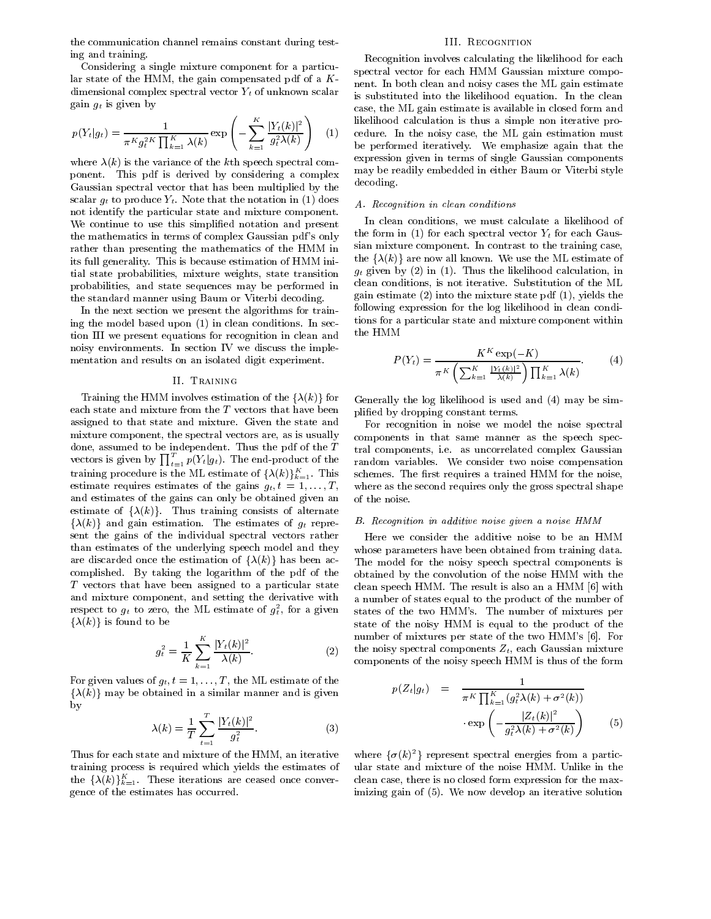the communication channel remains constant during testing and training.

Considering a single mixture component for a particular state of the HMM, the gain compensated pdf of a  $K$ dimensional complex spectral vector  $Y_t$  of unknown scalar  $\mathbb{R}^{m \times m}$  given by

$$
p(Y_t|g_t) = \frac{1}{\pi^K g_t^{2K} \prod_{k=1}^K \lambda(k)} \exp\left(-\sum_{k=1}^K \frac{|Y_t(k)|^2}{g_t^2 \lambda(k)}\right) \quad (1) \quad \begin{array}{c} \text{likelihood} \\ \text{cedur} \\ \text{be} \quad \text{pe} \end{array}
$$

where  $\lambda(k)$  is the variance of the kth speech spectral component. This pdf is derived by considering a complex Gaussian spectral vector that has been multiplied by the scalar give produce yt. Note that the notation in (1) does not do not identify the particular state and mixture component. We continue to use this simplied notation and present the mathematics in terms of complex Gaussian pdf 's only rather than presenting the mathematics of the HMM in its full generality. This is because estimation of HMM initial state probabilities, mixture weights, state transition probabilities, and state sequences may be performed in the standard manner using Baum or Viterbi decoding.

In the next section we present the algorithms for training the model based upon (1) in clean conditions. In section III we present equations for recognition in clean and noisy environments. In section IV we discuss the imple mentation and results on an isolated digit experiment.

# II. Training

Training the HMM involves estimation of the  $\{\lambda(k)\}\$ for each state and mixture from the <sup>T</sup> vectors that have been assigned to that state and mixture. Given the state and mixture component, the spectral vectors are, as is usually done, assumed to be independent. Thus the pdf of the <sup>T</sup> vectors is given by  $\prod_{t=1}^{T} p(Y_t|g_t)$ . The end-product of the rand training procedure is the ML estimate of  $\{\lambda(k)\}_{k=1}^K$ . This sch estimate requires estimates of the gains  $g_t, t = 1, \ldots, T$ , and estimates of the gains can only be obtained given an estimate of  $\{\lambda(k)\}\$ . Thus training consists of alternate  $\{\lambda(k)\}\$  and gain estimation. The estimates of  $g_t$  represent the gains of the individual spectral vectors rather than estimates of the underlying speech model and they are discarded once the estimation of  $\{\lambda(k)\}\$  has been accomplished. By taking the logarithm of the pdf of the T vectors that have been assigned to a particular state and mixture component, and setting the derivative with respect to  $g_t$  to zero, the ML estimate of  $g_t$ , for a given states  $\{\lambda(k)\}\$ is found to be

$$
g_t^2 = \frac{1}{K} \sum_{k=1}^K \frac{|Y_t(k)|^2}{\lambda(k)}.
$$

For given values of  $g_t, t = 1, \ldots, T$ , the ML estimate of the  $\{\lambda(k)\}\$  may be obtained in a similar manner and is given by

$$
\lambda(k) = \frac{1}{T} \sum_{t=1}^{T} \frac{|Y_t(k)|^2}{g_t^2}.
$$
 (3)

Thus for each state and mixture of the HMM, an iterative training process is required which yields the estimates of the  $\{\lambda(k)\}_{k=1}^K$ . These iterations are ceased once conver- cle gence of the estimates has occurred.

#### III. Recognition

(1) cedure. In the noisy case, the ML gain estimation must Recognition involves calculating the likelihood for each spectral vector for each HMM Gaussian mixture compo nent. In both clean and noisy cases the ML gain estimate is substituted into the likelihood equation. In the clean case, the ML gain estimate is available in closed form and likelihood calculation is thus a simple non iterative probe performed iteratively. We emphasize again that the expression given in terms of single Gaussian components may be readily embedded in either Baum or Viterbi style decoding.

# A. Recognition in clean conditions

In clean conditions, we must calculate a likelihood of the form in (1) for each spectral vector  $Y_t$  for each Gaussian mixture component. In contrast to the training case, the  $\{\lambda(k)\}\$ are now all known. We use the ML estimate of  $\alpha$  is different by (2) in (2). Thus the limit the limit of limit  $\alpha$  and  $\alpha$ clean conditions, is not iterative. Substitution of the ML gain estimate (2) into the mixture state pdf (1), yields the following expression for the log likelihood in clean conditions for a particular state and mixture component within the HMM

$$
P(Y_t) = \frac{K^K \exp(-K)}{\pi^K \left(\sum_{k=1}^K \frac{|Y_t(k)|^2}{\lambda(k)}\right) \prod_{k=1}^K \lambda(k)}.
$$
 (4)

Generally the log likelihood is used and (4) may be simplied by dropping constant terms.

For recognition in noise we model the noise spectral components in that same manner as the speech spectral components, i.e. as uncorrelated complex Gaussian random variables. We consider two noise compensation schemes. The first requires a trained HMM for the noise, where as the second requires only the gross spectral shape of the noise.

### B. Recognition in additive noise given a noise HMM

Here we consider the additive noise to be an HMM whose parameters have been obtained from training data. The model for the noisy speech spectral components is obtained by the convolution of the noise HMM with the clean speech HMM. The result is also an a HMM [6] with a number of states equal to the product of the number of states of the two HMM's. The number of mixtures per state of the noisy HMM is equal to the product of the number of mixtures per state of the two HMM's [6]. For the noisy spectral components  $Z_t$ , each Gaussian mixture components of the most prove HMM is the form of the form of the form

$$
p(Z_t|g_t) = \frac{1}{\pi^K \prod_{k=1}^K (g_t^2 \lambda(k) + \sigma^2(k))}
$$

$$
\exp\left(-\frac{|Z_t(k)|^2}{g_t^2 \lambda(k) + \sigma^2(k)}\right) \tag{5}
$$

where  $\{\sigma(k)^2\}$  represent spectral energies from a particular state and mixture of the noise HMM. Unlike in the clean case, there is no closed form expression for the maximizing gain of (5). We now develop an iterative solution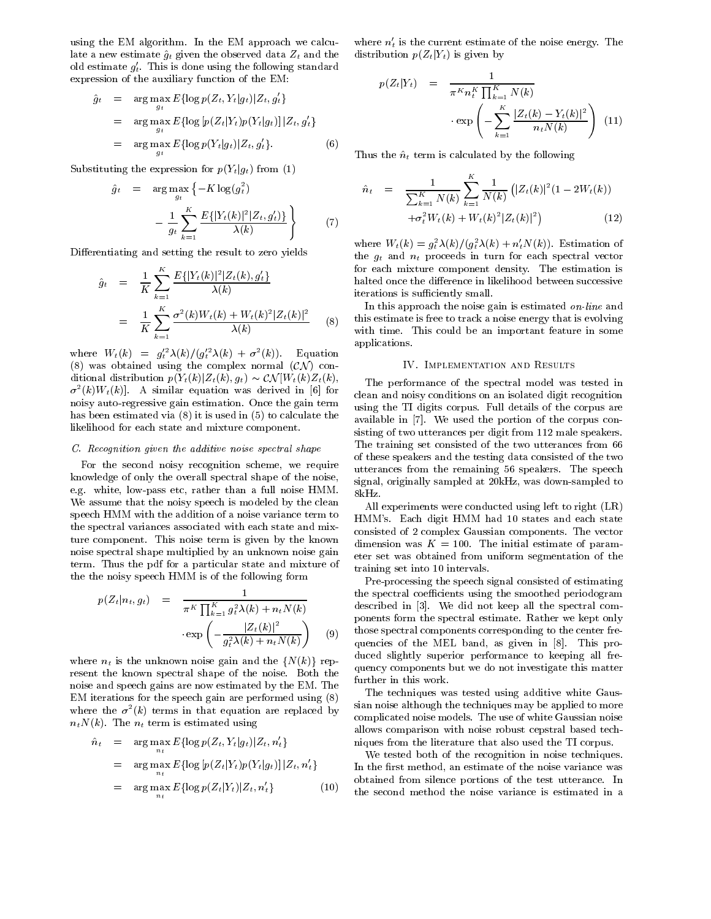using the EM algorithm. In the EM approach we calculate a new estimate  $\hat{g}_t$  given the observed data  $Z_t$  and the old estimate  $g_t$ . This is done using the following standard expression of the auxiliary function of the EM:

$$
\hat{g}_t = \arg \max_{g_t} E\{\log p(Z_t, Y_t|g_t)|Z_t, g'_t\}
$$
\n
$$
= \arg \max_{g_t} E\{\log [p(Z_t|Y_t)p(Y_t|g_t)] | Z_t, g'_t\}
$$
\n
$$
= \arg \max_{g_t} E\{\log p(Y_t|g_t)|Z_t, g'_t\}. \tag{6}
$$

Substituting the expression for  $p(Y_t|g_t)$  from (1)

$$
\hat{g}_t = \arg \max_{g_t} \left\{ -K \log(g_t^2) \right\} \n- \frac{1}{g_t} \sum_{k=1}^K \frac{E\{ |Y_t(k)|^2 | Z_t, g_t' \} }{\lambda(k)} \right\}
$$
\n(7)

Differentiating and setting the result to zero yields

$$
\hat{g}_t = \frac{1}{K} \sum_{k=1}^K \frac{E\{ |Y_t(k)|^2 | Z_t(k), g_t' \}}{\lambda(k)}
$$

$$
= \frac{1}{K} \sum_{k=1}^K \frac{\sigma^2(k) W_t(k) + W_t(k)^2 |Z_t(k)|^2}{\lambda(k)}
$$
(8)

where  $W_t(\kappa) = g_t^2 \lambda(\kappa) / (g_t^2 \lambda(\kappa) + \sigma^2(\kappa))$ . Equation (8) was obtained using the complex normal  $(C\mathcal{N})$  conditional distribution  $p(Y_t(k)|Z_t(k), g_t) \sim \mathcal{CN}[W_t(k)Z_t(k),$  $\sigma^-(k)W_t(k)$ . A similar equation was derived in [6] for  $\epsilon_{-1}$ , noisy auto-regressive gain estimation. Once the gain term has been estimated via (8) it is used in (5) to calculate the likelihood for each state and mixture component.

# C. Recognition given the additive noise spectral shape

For the second noisy recognition scheme, we require knowledge of only the overall spectral shape of the noise, e.g. white, low-pass etc, rather than a full noise HMM. We assume that the noisy speech is modeled by the clean speech HMM with the addition of a noise variance term to the spectral variances associated with each state and mixture component. This noise term is given by the known noise spectral shape multiplied by an unknown noise gain term. Thus the pdf for a particular state and mixture of the the noisy speech HMM is of the following form

$$
p(Z_t|n_t, g_t) = \frac{1}{\pi^K \prod_{k=1}^K g_t^2 \lambda(k) + n_t N(k)}
$$
 the  
desc  

$$
\exp\left(-\frac{|Z_t(k)|^2}{g_t^2 \lambda(k) + n_t N(k)}\right)
$$
 (9) the  
queue

where  $n_t$  is the unknown noise gain and the  $\{N(k)\}\$ represent the known spectral shape of the noise. Both the noise and speech gains are now estimated by the EM. The EM iterations for the speech gain are performed using (8) where the  $\sigma$  ( $\kappa$ ) terms in that equation are replaced by  $\hspace{1cm}$  $\ldots$  ,  $\ldots$  ,  $\ldots$  . The nt term is the set of the setting using  $\ldots$ 

$$
\hat{n}_t = \arg \max_{n_t} E\{\log p(Z_t, Y_t|g_t)|Z_t, n'_t\} \quad \text{inj}
$$
\n
$$
= \arg \max_{n_t} E\{\log [p(Z_t|Y_t)p(Y_t|g_t)] |Z_t, n'_t\} \quad \text{In t}
$$
\n
$$
= \arg \max_{n_t} E\{\log p(Z_t|Y_t)|Z_t, n'_t\} \quad \text{(10)} \quad \text{the}
$$

where  $n_t$  is the current estimate of the noise energy. The  $\,$ distribution  $p(Z_t|Y_t)$  is given by

$$
p(Z_t|Y_t) = \frac{1}{\pi^K n_t^K \prod_{k=1}^K N(k)} \cdot \exp\left(-\sum_{k=1}^K \frac{|Z_t(k) - Y_t(k)|^2}{n_t N(k)}\right)
$$
(11)

Thus the  $\hat{n}_t$  term is calculated by the following

$$
\hat{n}_t = \frac{1}{\sum_{k=1}^K N(k)} \sum_{k=1}^K \frac{1}{N(k)} \left( |Z_t(k)|^2 (1 - 2W_t(k)) + \sigma_t^2 W_t(k) + W_t(k)^2 |Z_t(k)|^2 \right) \tag{12}
$$

where  $W_t(\mathcal{K}) = g_t^T \lambda(\mathcal{K})/(g_t^T \lambda(\mathcal{K}) + n_t N(\mathcal{K}))$ . Estimation of the gt and nt proceeds in turn for each spectral vector for each mixture component density. The estimation is halted once the difference in likelihood between successive iterations is sufficiently small.

with time. This could be an important feature in some In this approach the noise gain is estimated *on-line* and this estimate is free to track a noise energy that is evolving applications.

# IV. Implementation and Results

The performance of the spectral model was tested in clean and noisy conditions on an isolated digit recognition using the TI digits corpus. Full details of the corpus are available in [7]. We used the portion of the corpus consisting of two utterances per digit from 112 male speakers. The training set consisted of the two utterances from 66 of these speakers and the testing data consisted of the two utterances from the remaining 56 speakers. The speech signal, originally sampled at 20kHz, was down-sampled to 8kHz.

All experiments were conducted using left to right (LR) HMM's. Each digit HMM had 10 states and each state consisted of 2 complex Gaussian components. The vector dimension was  $K = 100$ . The initial estimate of parameter set was obtained from uniform segmentation of the training set into 10 intervals.

quencies of the MEL band, as given in  $[8]$ . This pro-Pre-processing the speech signal consisted of estimating the spectral coefficients using the smoothed periodogram described in [3]. We did not keep all the spectral com ponents form the spectral estimate. Rather we kept only those spectral components corresponding to the center freduced slightly superior performance to keeping all frequency components but we do not investigate this matter further in this work.

The techniques was tested using additive white Gaussian noise although the techniques may be applied to more complicated noise models. The use of white Gaussian noise allows comparison with noise robust cepstral based techniques from the literature that also used the TI corpus.

We tested both of the recognition in noise techniques. In the first method, an estimate of the noise variance was obtained from silence portions of the test utterance. In the second method the noise variance is estimated in a